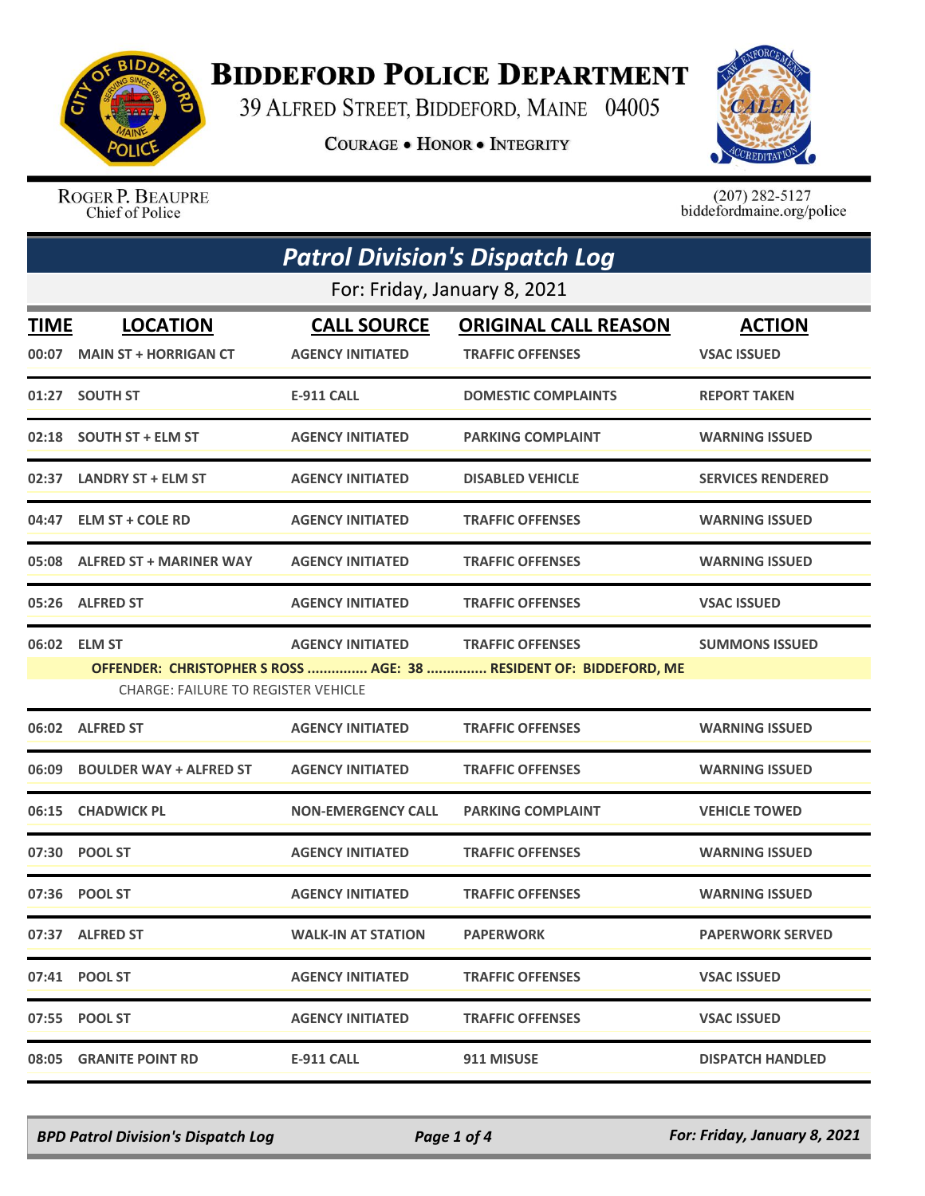

## **BIDDEFORD POLICE DEPARTMENT**

39 ALFRED STREET, BIDDEFORD, MAINE 04005

**COURAGE . HONOR . INTEGRITY** 



ROGER P. BEAUPRE Chief of Police

 $(207)$  282-5127<br>biddefordmaine.org/police

| <b>Patrol Division's Dispatch Log</b> |                                                                                                                                                                                                                |                                               |                                                        |                                     |  |  |
|---------------------------------------|----------------------------------------------------------------------------------------------------------------------------------------------------------------------------------------------------------------|-----------------------------------------------|--------------------------------------------------------|-------------------------------------|--|--|
|                                       | For: Friday, January 8, 2021                                                                                                                                                                                   |                                               |                                                        |                                     |  |  |
| <b>TIME</b>                           | <b>LOCATION</b><br>00:07 MAIN ST + HORRIGAN CT                                                                                                                                                                 | <b>CALL SOURCE</b><br><b>AGENCY INITIATED</b> | <b>ORIGINAL CALL REASON</b><br><b>TRAFFIC OFFENSES</b> | <b>ACTION</b><br><b>VSAC ISSUED</b> |  |  |
|                                       | 01:27 SOUTH ST                                                                                                                                                                                                 | <b>E-911 CALL</b>                             | <b>DOMESTIC COMPLAINTS</b>                             | <b>REPORT TAKEN</b>                 |  |  |
|                                       | 02:18 SOUTH ST + ELM ST                                                                                                                                                                                        | <b>AGENCY INITIATED</b>                       | <b>PARKING COMPLAINT</b>                               | <b>WARNING ISSUED</b>               |  |  |
|                                       | 02:37 LANDRY ST + ELM ST                                                                                                                                                                                       | <b>AGENCY INITIATED</b>                       | <b>DISABLED VEHICLE</b>                                | <b>SERVICES RENDERED</b>            |  |  |
|                                       | 04:47 ELM ST + COLE RD                                                                                                                                                                                         | <b>AGENCY INITIATED</b>                       | <b>TRAFFIC OFFENSES</b>                                | <b>WARNING ISSUED</b>               |  |  |
|                                       | 05:08 ALFRED ST + MARINER WAY                                                                                                                                                                                  | <b>AGENCY INITIATED</b>                       | <b>TRAFFIC OFFENSES</b>                                | <b>WARNING ISSUED</b>               |  |  |
|                                       | 05:26 ALFRED ST                                                                                                                                                                                                | <b>AGENCY INITIATED</b>                       | <b>TRAFFIC OFFENSES</b>                                | <b>VSAC ISSUED</b>                  |  |  |
|                                       | 06:02 ELM ST<br><b>AGENCY INITIATED</b><br><b>TRAFFIC OFFENSES</b><br><b>SUMMONS ISSUED</b><br>OFFENDER: CHRISTOPHER S ROSS  AGE: 38  RESIDENT OF: BIDDEFORD, ME<br><b>CHARGE: FAILURE TO REGISTER VEHICLE</b> |                                               |                                                        |                                     |  |  |
|                                       | 06:02 ALFRED ST                                                                                                                                                                                                | <b>AGENCY INITIATED</b>                       | <b>TRAFFIC OFFENSES</b>                                | <b>WARNING ISSUED</b>               |  |  |
| 06:09                                 | <b>BOULDER WAY + ALFRED ST</b>                                                                                                                                                                                 | <b>AGENCY INITIATED</b>                       | <b>TRAFFIC OFFENSES</b>                                | <b>WARNING ISSUED</b>               |  |  |
| 06:15                                 | <b>CHADWICK PL</b>                                                                                                                                                                                             | <b>NON-EMERGENCY CALL</b>                     | <b>PARKING COMPLAINT</b>                               | <b>VEHICLE TOWED</b>                |  |  |
|                                       | 07:30 POOL ST                                                                                                                                                                                                  | <b>AGENCY INITIATED</b>                       | <b>TRAFFIC OFFENSES</b>                                | <b>WARNING ISSUED</b>               |  |  |
|                                       | 07:36 POOL ST                                                                                                                                                                                                  | <b>AGENCY INITIATED</b>                       | <b>TRAFFIC OFFENSES</b>                                | <b>WARNING ISSUED</b>               |  |  |
|                                       | 07:37 ALFRED ST                                                                                                                                                                                                | <b>WALK-IN AT STATION</b>                     | <b>PAPERWORK</b>                                       | <b>PAPERWORK SERVED</b>             |  |  |
|                                       | 07:41 POOL ST                                                                                                                                                                                                  | <b>AGENCY INITIATED</b>                       | <b>TRAFFIC OFFENSES</b>                                | <b>VSAC ISSUED</b>                  |  |  |
|                                       | 07:55 POOL ST                                                                                                                                                                                                  | <b>AGENCY INITIATED</b>                       | <b>TRAFFIC OFFENSES</b>                                | <b>VSAC ISSUED</b>                  |  |  |
|                                       | 08:05 GRANITE POINT RD                                                                                                                                                                                         | <b>E-911 CALL</b>                             | 911 MISUSE                                             | <b>DISPATCH HANDLED</b>             |  |  |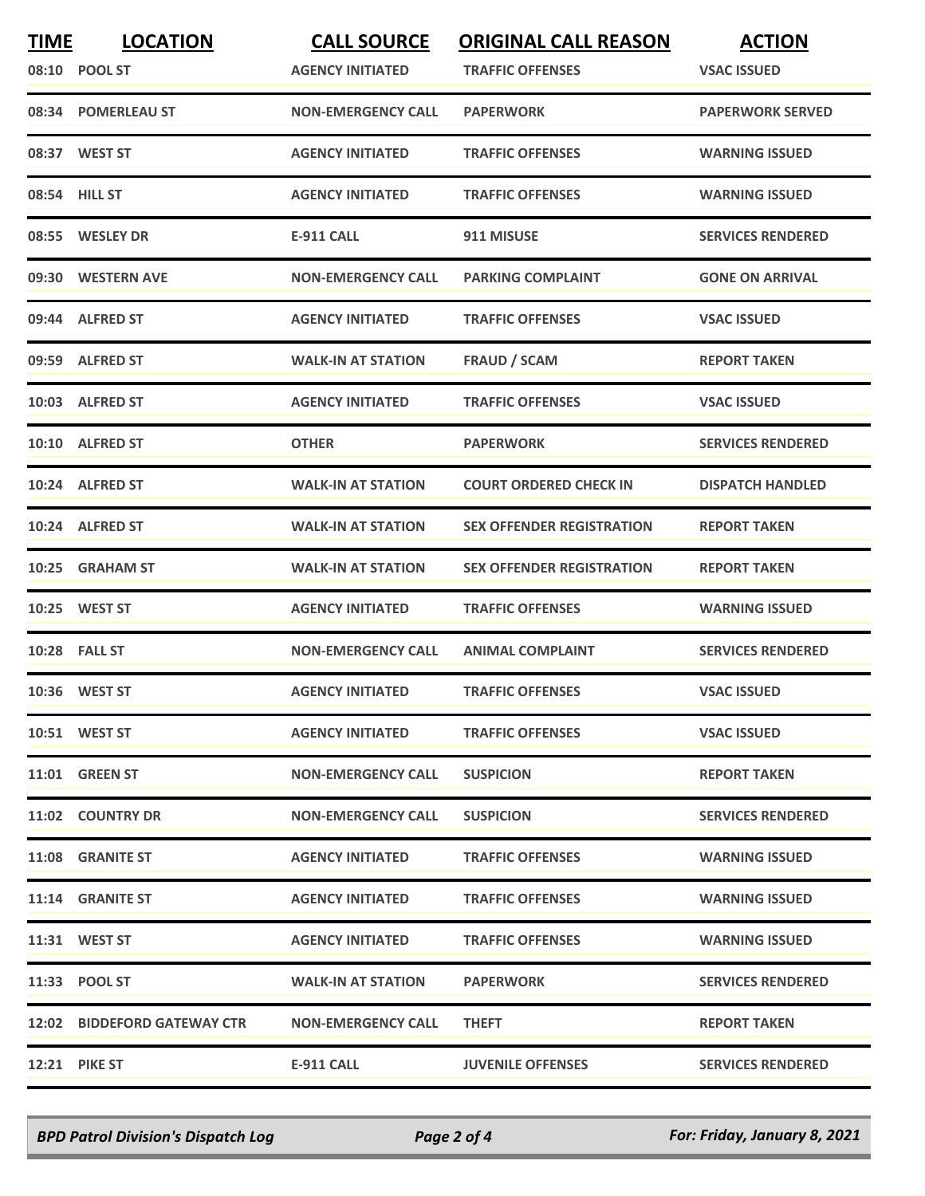| <b>TIME</b> | <b>LOCATION</b><br>08:10 POOL ST | <b>CALL SOURCE</b><br><b>AGENCY INITIATED</b> | <b>ORIGINAL CALL REASON</b><br><b>TRAFFIC OFFENSES</b> | <b>ACTION</b><br><b>VSAC ISSUED</b> |
|-------------|----------------------------------|-----------------------------------------------|--------------------------------------------------------|-------------------------------------|
|             | 08:34 POMERLEAU ST               | <b>NON-EMERGENCY CALL</b>                     | <b>PAPERWORK</b>                                       | <b>PAPERWORK SERVED</b>             |
|             | 08:37 WEST ST                    | <b>AGENCY INITIATED</b>                       | <b>TRAFFIC OFFENSES</b>                                | <b>WARNING ISSUED</b>               |
|             | 08:54 HILL ST                    | <b>AGENCY INITIATED</b>                       | <b>TRAFFIC OFFENSES</b>                                | <b>WARNING ISSUED</b>               |
|             | 08:55 WESLEY DR                  | <b>E-911 CALL</b>                             | 911 MISUSE                                             | <b>SERVICES RENDERED</b>            |
|             | 09:30 WESTERN AVE                | <b>NON-EMERGENCY CALL</b>                     | <b>PARKING COMPLAINT</b>                               | <b>GONE ON ARRIVAL</b>              |
|             | 09:44 ALFRED ST                  | <b>AGENCY INITIATED</b>                       | <b>TRAFFIC OFFENSES</b>                                | <b>VSAC ISSUED</b>                  |
|             | 09:59 ALFRED ST                  | <b>WALK-IN AT STATION</b>                     | <b>FRAUD / SCAM</b>                                    | <b>REPORT TAKEN</b>                 |
|             | 10:03 ALFRED ST                  | <b>AGENCY INITIATED</b>                       | <b>TRAFFIC OFFENSES</b>                                | <b>VSAC ISSUED</b>                  |
|             | 10:10 ALFRED ST                  | <b>OTHER</b>                                  | <b>PAPERWORK</b>                                       | <b>SERVICES RENDERED</b>            |
|             | 10:24 ALFRED ST                  | <b>WALK-IN AT STATION</b>                     | <b>COURT ORDERED CHECK IN</b>                          | <b>DISPATCH HANDLED</b>             |
|             | 10:24 ALFRED ST                  | <b>WALK-IN AT STATION</b>                     | <b>SEX OFFENDER REGISTRATION</b>                       | <b>REPORT TAKEN</b>                 |
|             | 10:25 GRAHAM ST                  | <b>WALK-IN AT STATION</b>                     | <b>SEX OFFENDER REGISTRATION</b>                       | <b>REPORT TAKEN</b>                 |
|             | 10:25 WEST ST                    | <b>AGENCY INITIATED</b>                       | <b>TRAFFIC OFFENSES</b>                                | <b>WARNING ISSUED</b>               |
|             | 10:28 FALL ST                    | <b>NON-EMERGENCY CALL</b>                     | <b>ANIMAL COMPLAINT</b>                                | <b>SERVICES RENDERED</b>            |
|             | 10:36 WEST ST                    | <b>AGENCY INITIATED</b>                       | <b>TRAFFIC OFFENSES</b>                                | <b>VSAC ISSUED</b>                  |
|             | 10:51 WEST ST                    | <b>AGENCY INITIATED</b>                       | <b>TRAFFIC OFFENSES</b>                                | <b>VSAC ISSUED</b>                  |
|             | <b>11:01 GREEN ST</b>            | <b>NON-EMERGENCY CALL</b>                     | <b>SUSPICION</b>                                       | <b>REPORT TAKEN</b>                 |
|             | 11:02 COUNTRY DR                 | <b>NON-EMERGENCY CALL</b>                     | <b>SUSPICION</b>                                       | <b>SERVICES RENDERED</b>            |
|             | 11:08 GRANITE ST                 | <b>AGENCY INITIATED</b>                       | <b>TRAFFIC OFFENSES</b>                                | <b>WARNING ISSUED</b>               |
|             | 11:14 GRANITE ST                 | <b>AGENCY INITIATED</b>                       | <b>TRAFFIC OFFENSES</b>                                | <b>WARNING ISSUED</b>               |
|             | 11:31 WEST ST                    | <b>AGENCY INITIATED</b>                       | <b>TRAFFIC OFFENSES</b>                                | <b>WARNING ISSUED</b>               |
|             | 11:33 POOL ST                    | <b>WALK-IN AT STATION</b>                     | <b>PAPERWORK</b>                                       | <b>SERVICES RENDERED</b>            |
|             | 12:02 BIDDEFORD GATEWAY CTR      | <b>NON-EMERGENCY CALL</b>                     | <b>THEFT</b>                                           | <b>REPORT TAKEN</b>                 |
|             | <b>12:21 PIKE ST</b>             | E-911 CALL                                    | <b>JUVENILE OFFENSES</b>                               | <b>SERVICES RENDERED</b>            |

*BPD Patrol Division's Dispatch Log Page 2 of 4 For: Friday, January 8, 2021*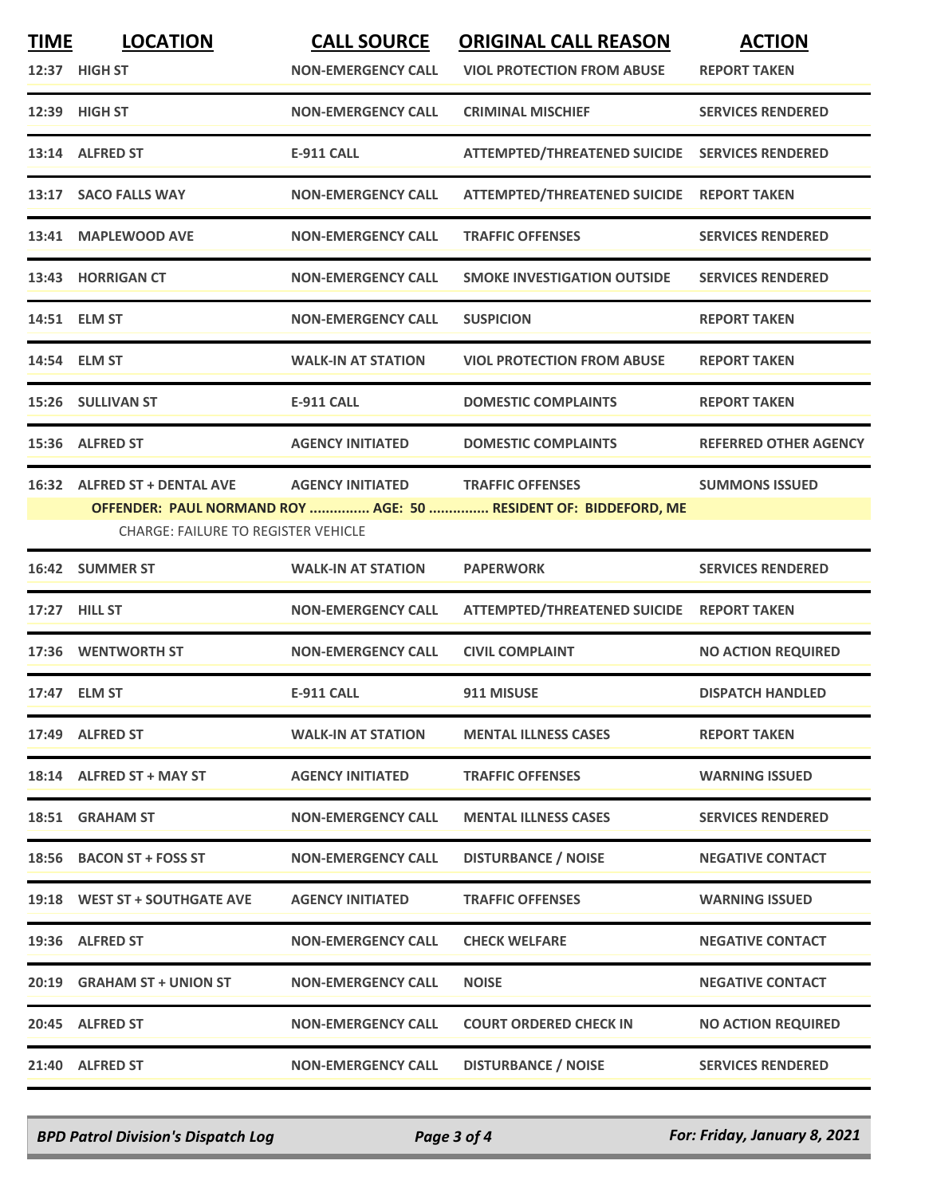| <b>TIME</b> | <b>LOCATION</b>                            | <b>CALL SOURCE</b>        | <b>ORIGINAL CALL REASON</b>                                     | <b>ACTION</b>                |
|-------------|--------------------------------------------|---------------------------|-----------------------------------------------------------------|------------------------------|
|             | 12:37 HIGH ST                              | <b>NON-EMERGENCY CALL</b> | <b>VIOL PROTECTION FROM ABUSE</b>                               | <b>REPORT TAKEN</b>          |
|             | 12:39 HIGH ST                              | <b>NON-EMERGENCY CALL</b> | <b>CRIMINAL MISCHIEF</b>                                        | <b>SERVICES RENDERED</b>     |
|             | 13:14 ALFRED ST                            | <b>E-911 CALL</b>         | ATTEMPTED/THREATENED SUICIDE SERVICES RENDERED                  |                              |
|             | 13:17 SACO FALLS WAY                       | <b>NON-EMERGENCY CALL</b> | ATTEMPTED/THREATENED SUICIDE REPORT TAKEN                       |                              |
|             | 13:41 MAPLEWOOD AVE                        | <b>NON-EMERGENCY CALL</b> | <b>TRAFFIC OFFENSES</b>                                         | <b>SERVICES RENDERED</b>     |
|             | 13:43 HORRIGAN CT                          | <b>NON-EMERGENCY CALL</b> | <b>SMOKE INVESTIGATION OUTSIDE</b>                              | <b>SERVICES RENDERED</b>     |
|             | 14:51 ELM ST                               | <b>NON-EMERGENCY CALL</b> | <b>SUSPICION</b>                                                | <b>REPORT TAKEN</b>          |
|             | 14:54 ELM ST                               | <b>WALK-IN AT STATION</b> | <b>VIOL PROTECTION FROM ABUSE</b>                               | <b>REPORT TAKEN</b>          |
|             | 15:26 SULLIVAN ST                          | <b>E-911 CALL</b>         | <b>DOMESTIC COMPLAINTS</b>                                      | <b>REPORT TAKEN</b>          |
|             | 15:36 ALFRED ST                            | <b>AGENCY INITIATED</b>   | <b>DOMESTIC COMPLAINTS</b>                                      | <b>REFERRED OTHER AGENCY</b> |
|             | 16:32 ALFRED ST + DENTAL AVE               | <b>AGENCY INITIATED</b>   | <b>TRAFFIC OFFENSES</b>                                         | <b>SUMMONS ISSUED</b>        |
|             |                                            |                           | OFFENDER: PAUL NORMAND ROY  AGE: 50  RESIDENT OF: BIDDEFORD, ME |                              |
|             | <b>CHARGE: FAILURE TO REGISTER VEHICLE</b> |                           |                                                                 |                              |
|             | 16:42 SUMMER ST                            | <b>WALK-IN AT STATION</b> | <b>PAPERWORK</b>                                                | <b>SERVICES RENDERED</b>     |
|             | 17:27 HILL ST                              | <b>NON-EMERGENCY CALL</b> | ATTEMPTED/THREATENED SUICIDE REPORT TAKEN                       |                              |
|             | 17:36 WENTWORTH ST                         | <b>NON-EMERGENCY CALL</b> | <b>CIVIL COMPLAINT</b>                                          | <b>NO ACTION REQUIRED</b>    |
|             | 17:47 ELM ST                               | <b>E-911 CALL</b>         | 911 MISUSE                                                      | <b>DISPATCH HANDLED</b>      |
|             | 17:49 ALFRED ST                            | <b>WALK-IN AT STATION</b> | <b>MENTAL ILLNESS CASES</b>                                     | <b>REPORT TAKEN</b>          |
|             | 18:14 ALFRED ST + MAY ST                   | <b>AGENCY INITIATED</b>   | <b>TRAFFIC OFFENSES</b>                                         | <b>WARNING ISSUED</b>        |
|             | 18:51 GRAHAM ST                            | <b>NON-EMERGENCY CALL</b> | <b>MENTAL ILLNESS CASES</b>                                     | <b>SERVICES RENDERED</b>     |
|             | 18:56 BACON ST + FOSS ST                   | <b>NON-EMERGENCY CALL</b> | <b>DISTURBANCE / NOISE</b>                                      | <b>NEGATIVE CONTACT</b>      |
|             | 19:18 WEST ST + SOUTHGATE AVE              | <b>AGENCY INITIATED</b>   | <b>TRAFFIC OFFENSES</b>                                         | <b>WARNING ISSUED</b>        |
|             | 19:36 ALFRED ST                            | <b>NON-EMERGENCY CALL</b> | <b>CHECK WELFARE</b>                                            | <b>NEGATIVE CONTACT</b>      |
|             | 20:19 GRAHAM ST + UNION ST                 | <b>NON-EMERGENCY CALL</b> | <b>NOISE</b>                                                    | <b>NEGATIVE CONTACT</b>      |
|             | 20:45 ALFRED ST                            | <b>NON-EMERGENCY CALL</b> | <b>COURT ORDERED CHECK IN</b>                                   | <b>NO ACTION REQUIRED</b>    |
|             | 21:40 ALFRED ST                            | <b>NON-EMERGENCY CALL</b> | <b>DISTURBANCE / NOISE</b>                                      | <b>SERVICES RENDERED</b>     |

*BPD Patrol Division's Dispatch Log Page 3 of 4 For: Friday, January 8, 2021*